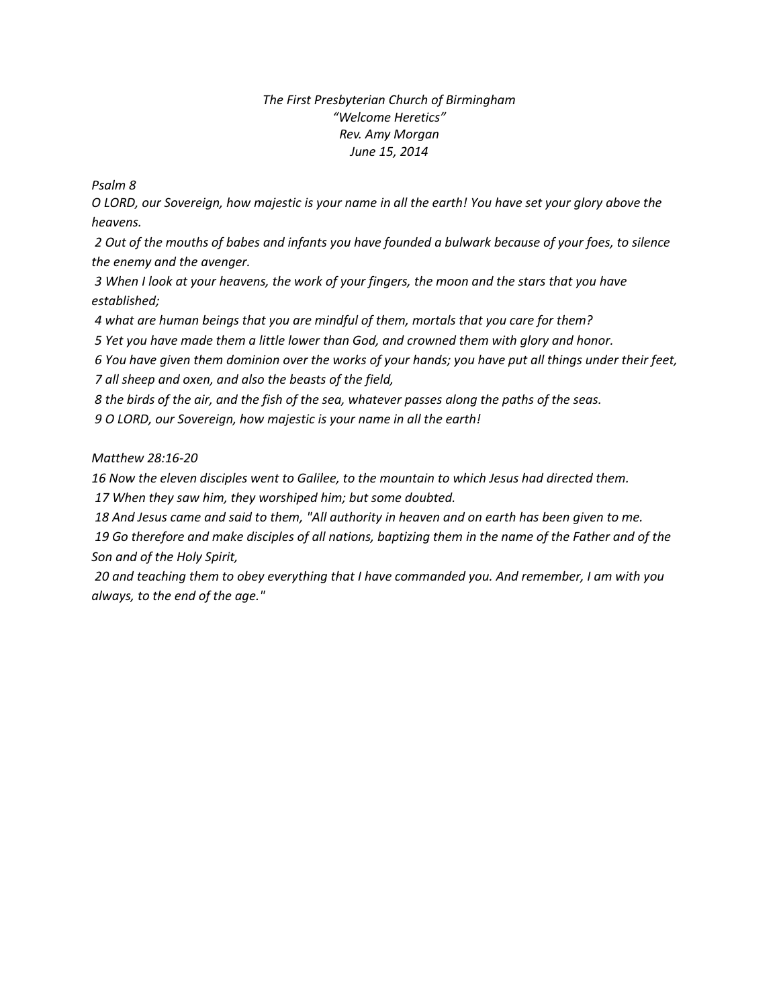## *The First Presbyterian Church of Birmingham "Welcome Heretics" Rev. Amy Morgan June 15, 2014*

*Psalm 8*

*O LORD, our Sovereign, how majestic is your name in all the earth! You have set your glory above the heavens.*

*2 Out of the mouths of babes and infants you have founded a bulwark because of your foes, to silence the enemy and the avenger.*

*3 When I look at your heavens, the work of your fingers, the moon and the stars that you have established;*

*4 what are human beings that you are mindful of them, mortals that you care for them?*

*5 Yet you have made them a little lower than God, and crowned them with glory and honor.*

*6 You have given them dominion over the works of your hands; you have put all things under their feet, 7 all sheep and oxen, and also the beasts of the field,*

*8 the birds of the air, and the fish of the sea, whatever passes along the paths of the seas.*

*9 O LORD, our Sovereign, how majestic is your name in all the earth!*

*Matthew 28:16-20*

*16 Now the eleven disciples went to Galilee, to the mountain to which Jesus had directed them.*

*17 When they saw him, they worshiped him; but some doubted.*

*18 And Jesus came and said to them, "All authority in heaven and on earth has been given to me.*

*19 Go therefore and make disciples of all nations, baptizing them in the name of the Father and of the Son and of the Holy Spirit,*

*20 and teaching them to obey everything that I have commanded you. And remember, I am with you always, to the end of the age."*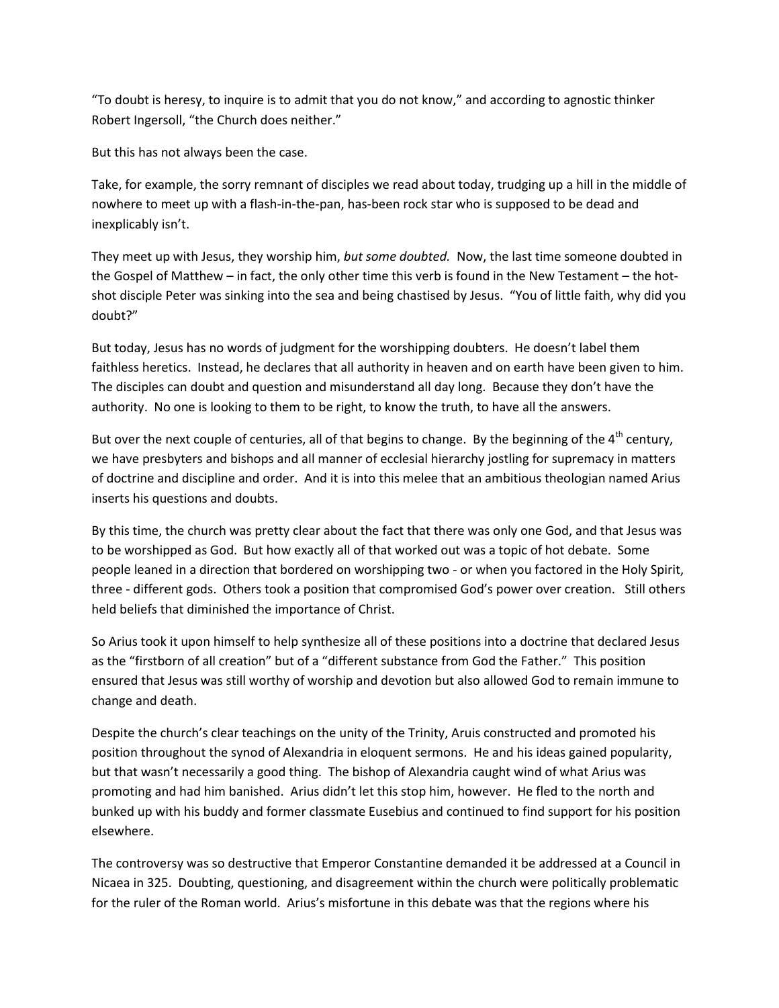"To doubt is heresy, to inquire is to admit that you do not know," and according to agnostic thinker Robert Ingersoll, "the Church does neither."

But this has not always been the case.

Take, for example, the sorry remnant of disciples we read about today, trudging up a hill in the middle of nowhere to meet up with a flash-in-the-pan, has-been rock star who is supposed to be dead and inexplicably isn't.

They meet up with Jesus, they worship him, *but some doubted.* Now, the last time someone doubted in the Gospel of Matthew – in fact, the only other time this verb is found in the New Testament – the hotshot disciple Peter was sinking into the sea and being chastised by Jesus. "You of little faith, why did you doubt?"

But today, Jesus has no words of judgment for the worshipping doubters. He doesn't label them faithless heretics. Instead, he declares that all authority in heaven and on earth have been given to him. The disciples can doubt and question and misunderstand all day long. Because they don't have the authority. No one is looking to them to be right, to know the truth, to have all the answers.

But over the next couple of centuries, all of that begins to change. By the beginning of the  $4<sup>th</sup>$  century, we have presbyters and bishops and all manner of ecclesial hierarchy jostling for supremacy in matters of doctrine and discipline and order. And it is into this melee that an ambitious theologian named Arius inserts his questions and doubts.

By this time, the church was pretty clear about the fact that there was only one God, and that Jesus was to be worshipped as God. But how exactly all of that worked out was a topic of hot debate. Some people leaned in a direction that bordered on worshipping two - or when you factored in the Holy Spirit, three - different gods. Others took a position that compromised God's power over creation. Still others held beliefs that diminished the importance of Christ.

So Arius took it upon himself to help synthesize all of these positions into a doctrine that declared Jesus as the "firstborn of all creation" but of a "different substance from God the Father." This position ensured that Jesus was still worthy of worship and devotion but also allowed God to remain immune to change and death.

Despite the church's clear teachings on the unity of the Trinity, Aruis constructed and promoted his position throughout the synod of Alexandria in eloquent sermons. He and his ideas gained popularity, but that wasn't necessarily a good thing. The bishop of Alexandria caught wind of what Arius was promoting and had him banished. Arius didn't let this stop him, however. He fled to the north and bunked up with his buddy and former classmate Eusebius and continued to find support for his position elsewhere.

The controversy was so destructive that Emperor Constantine demanded it be addressed at a Council in Nicaea in 325. Doubting, questioning, and disagreement within the church were politically problematic for the ruler of the Roman world. Arius's misfortune in this debate was that the regions where his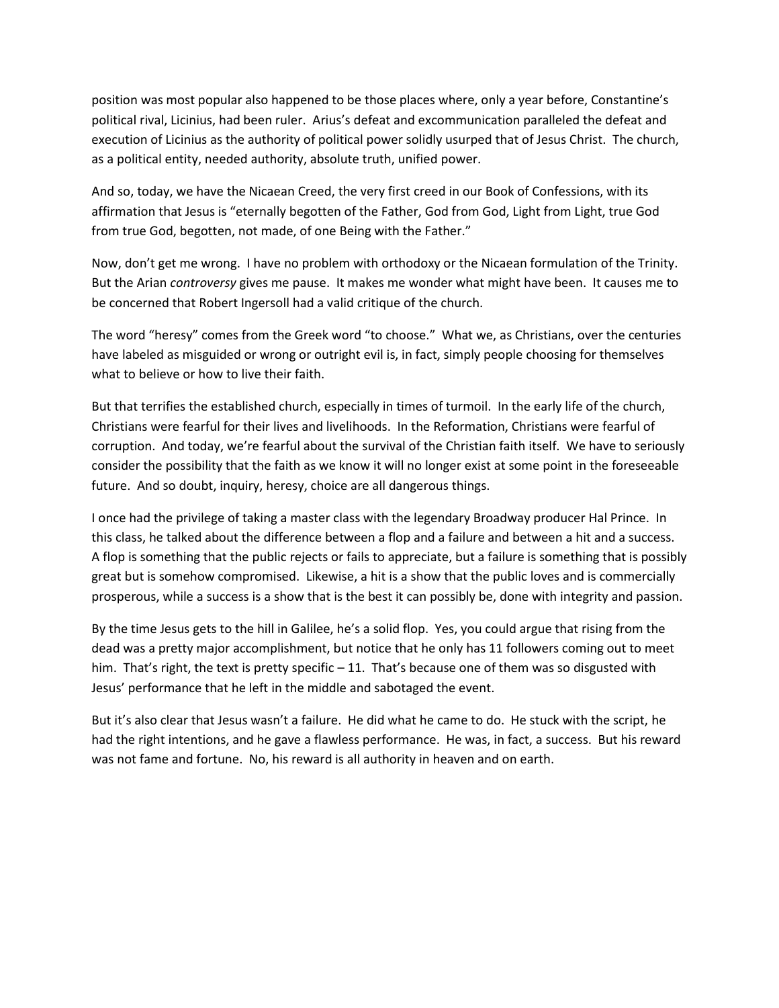position was most popular also happened to be those places where, only a year before, Constantine's political rival, Licinius, had been ruler. Arius's defeat and excommunication paralleled the defeat and execution of Licinius as the authority of political power solidly usurped that of Jesus Christ. The church, as a political entity, needed authority, absolute truth, unified power.

And so, today, we have the Nicaean Creed, the very first creed in our Book of Confessions, with its affirmation that Jesus is "eternally begotten of the Father, God from God, Light from Light, true God from true God, begotten, not made, of one Being with the Father."

Now, don't get me wrong. I have no problem with orthodoxy or the Nicaean formulation of the Trinity. But the Arian *controversy* gives me pause. It makes me wonder what might have been. It causes me to be concerned that Robert Ingersoll had a valid critique of the church.

The word "heresy" comes from the Greek word "to choose." What we, as Christians, over the centuries have labeled as misguided or wrong or outright evil is, in fact, simply people choosing for themselves what to believe or how to live their faith.

But that terrifies the established church, especially in times of turmoil. In the early life of the church, Christians were fearful for their lives and livelihoods. In the Reformation, Christians were fearful of corruption. And today, we're fearful about the survival of the Christian faith itself. We have to seriously consider the possibility that the faith as we know it will no longer exist at some point in the foreseeable future. And so doubt, inquiry, heresy, choice are all dangerous things.

I once had the privilege of taking a master class with the legendary Broadway producer Hal Prince. In this class, he talked about the difference between a flop and a failure and between a hit and a success. A flop is something that the public rejects or fails to appreciate, but a failure is something that is possibly great but is somehow compromised. Likewise, a hit is a show that the public loves and is commercially prosperous, while a success is a show that is the best it can possibly be, done with integrity and passion.

By the time Jesus gets to the hill in Galilee, he's a solid flop. Yes, you could argue that rising from the dead was a pretty major accomplishment, but notice that he only has 11 followers coming out to meet him. That's right, the text is pretty specific  $-11$ . That's because one of them was so disgusted with Jesus' performance that he left in the middle and sabotaged the event.

But it's also clear that Jesus wasn't a failure. He did what he came to do. He stuck with the script, he had the right intentions, and he gave a flawless performance. He was, in fact, a success. But his reward was not fame and fortune. No, his reward is all authority in heaven and on earth.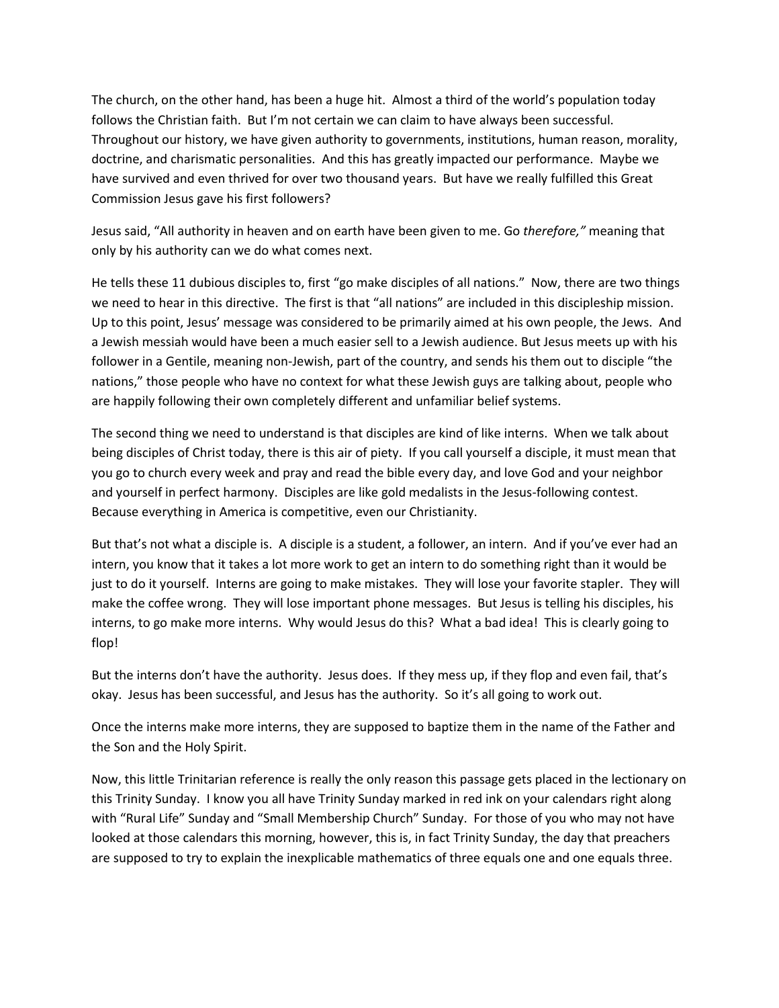The church, on the other hand, has been a huge hit. Almost a third of the world's population today follows the Christian faith. But I'm not certain we can claim to have always been successful. Throughout our history, we have given authority to governments, institutions, human reason, morality, doctrine, and charismatic personalities. And this has greatly impacted our performance. Maybe we have survived and even thrived for over two thousand years. But have we really fulfilled this Great Commission Jesus gave his first followers?

Jesus said, "All authority in heaven and on earth have been given to me. Go *therefore,"* meaning that only by his authority can we do what comes next.

He tells these 11 dubious disciples to, first "go make disciples of all nations." Now, there are two things we need to hear in this directive. The first is that "all nations" are included in this discipleship mission. Up to this point, Jesus' message was considered to be primarily aimed at his own people, the Jews. And a Jewish messiah would have been a much easier sell to a Jewish audience. But Jesus meets up with his follower in a Gentile, meaning non-Jewish, part of the country, and sends his them out to disciple "the nations," those people who have no context for what these Jewish guys are talking about, people who are happily following their own completely different and unfamiliar belief systems.

The second thing we need to understand is that disciples are kind of like interns. When we talk about being disciples of Christ today, there is this air of piety. If you call yourself a disciple, it must mean that you go to church every week and pray and read the bible every day, and love God and your neighbor and yourself in perfect harmony. Disciples are like gold medalists in the Jesus-following contest. Because everything in America is competitive, even our Christianity.

But that's not what a disciple is. A disciple is a student, a follower, an intern. And if you've ever had an intern, you know that it takes a lot more work to get an intern to do something right than it would be just to do it yourself. Interns are going to make mistakes. They will lose your favorite stapler. They will make the coffee wrong. They will lose important phone messages. But Jesus is telling his disciples, his interns, to go make more interns. Why would Jesus do this? What a bad idea! This is clearly going to flop!

But the interns don't have the authority. Jesus does. If they mess up, if they flop and even fail, that's okay. Jesus has been successful, and Jesus has the authority. So it's all going to work out.

Once the interns make more interns, they are supposed to baptize them in the name of the Father and the Son and the Holy Spirit.

Now, this little Trinitarian reference is really the only reason this passage gets placed in the lectionary on this Trinity Sunday. I know you all have Trinity Sunday marked in red ink on your calendars right along with "Rural Life" Sunday and "Small Membership Church" Sunday. For those of you who may not have looked at those calendars this morning, however, this is, in fact Trinity Sunday, the day that preachers are supposed to try to explain the inexplicable mathematics of three equals one and one equals three.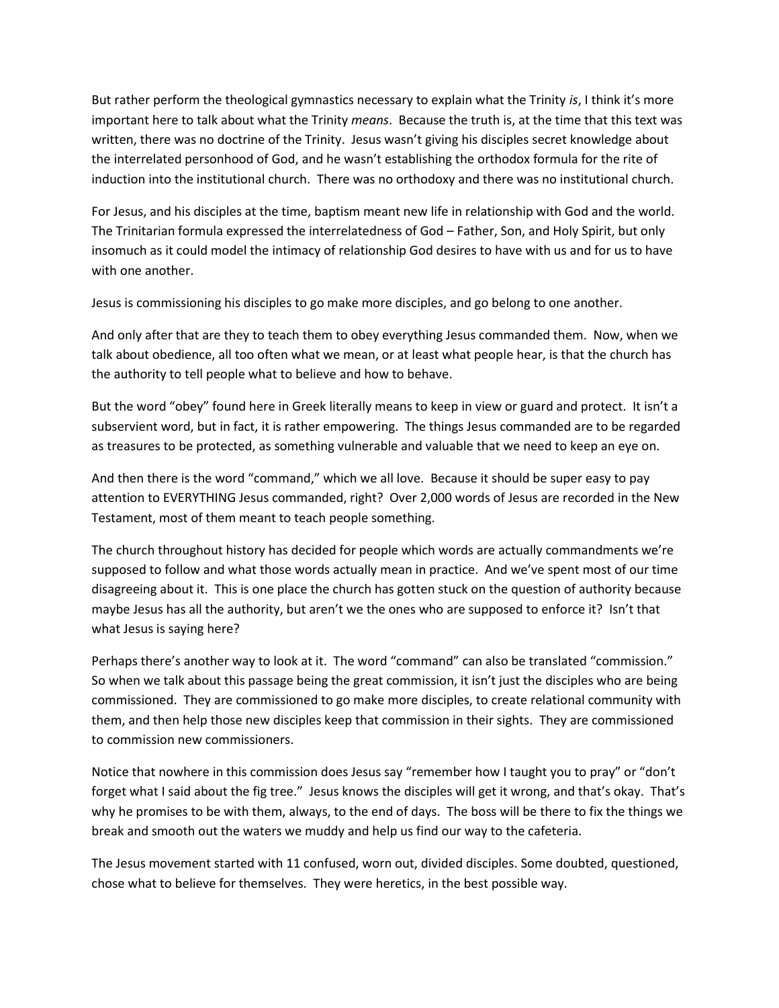But rather perform the theological gymnastics necessary to explain what the Trinity *is*, I think it's more important here to talk about what the Trinity *means*. Because the truth is, at the time that this text was written, there was no doctrine of the Trinity. Jesus wasn't giving his disciples secret knowledge about the interrelated personhood of God, and he wasn't establishing the orthodox formula for the rite of induction into the institutional church. There was no orthodoxy and there was no institutional church.

For Jesus, and his disciples at the time, baptism meant new life in relationship with God and the world. The Trinitarian formula expressed the interrelatedness of God – Father, Son, and Holy Spirit, but only insomuch as it could model the intimacy of relationship God desires to have with us and for us to have with one another.

Jesus is commissioning his disciples to go make more disciples, and go belong to one another.

And only after that are they to teach them to obey everything Jesus commanded them. Now, when we talk about obedience, all too often what we mean, or at least what people hear, is that the church has the authority to tell people what to believe and how to behave.

But the word "obey" found here in Greek literally means to keep in view or guard and protect. It isn't a subservient word, but in fact, it is rather empowering. The things Jesus commanded are to be regarded as treasures to be protected, as something vulnerable and valuable that we need to keep an eye on.

And then there is the word "command," which we all love. Because it should be super easy to pay attention to EVERYTHING Jesus commanded, right? Over 2,000 words of Jesus are recorded in the New Testament, most of them meant to teach people something.

The church throughout history has decided for people which words are actually commandments we're supposed to follow and what those words actually mean in practice. And we've spent most of our time disagreeing about it. This is one place the church has gotten stuck on the question of authority because maybe Jesus has all the authority, but aren't we the ones who are supposed to enforce it? Isn't that what Jesus is saying here?

Perhaps there's another way to look at it. The word "command" can also be translated "commission." So when we talk about this passage being the great commission, it isn't just the disciples who are being commissioned. They are commissioned to go make more disciples, to create relational community with them, and then help those new disciples keep that commission in their sights. They are commissioned to commission new commissioners.

Notice that nowhere in this commission does Jesus say "remember how I taught you to pray" or "don't forget what I said about the fig tree." Jesus knows the disciples will get it wrong, and that's okay. That's why he promises to be with them, always, to the end of days. The boss will be there to fix the things we break and smooth out the waters we muddy and help us find our way to the cafeteria.

The Jesus movement started with 11 confused, worn out, divided disciples. Some doubted, questioned, chose what to believe for themselves. They were heretics, in the best possible way.